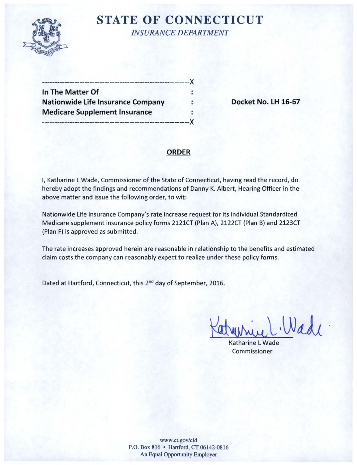

## **STATE OF CONNECTICUT** *INSURANCE DEPARTMENT*

-----------------------------------------------------------)( **In The Matter Of**  Nationwide Life Insurance Company : Pocket No. LH 16-67 **Medicare Supplement Insurance** 

-----------------------------------------------------------)(

### **ORDER**

 $\cdot$ 

I, Katharine L Wade, Commissioner of the State of Connecticut, having read the record, do hereby adopt the findings and recommendations of Danny K. Albert, Hearing Officer in the above matter and issue the following order, to wit:

Nationwide Life Insurance Company's rate increase request for its individual Standardized Medicare supplement insurance policy forms 2121CT (Plan A), 2122CT (Plan B) and 2123CT (Plan F) is approved as submitted.

The rate increases approved herein are reasonable in relationship to the benefits and estimated claim costs the company can reasonably expect to realize under these policy forms .

Dated at Hartford, Connecticut, this 2<sup>nd</sup> day of September, 2016.

 $N_{d}$ 

Katharine L Wade Commissioner

www.ct.gov/cid P.O. Box 816 • Hartford, CT 06142-0816 An Equal Opportunity Employer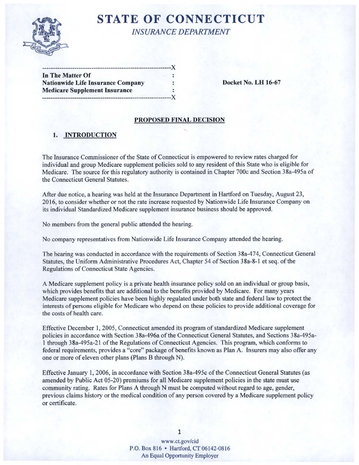

# **STATE OF CONNECTICUT INSURANCE DEPARTMENT**

 $\mathbf{X}$ 

| In The Matter Of                         |  |
|------------------------------------------|--|
| <b>Nationwide Life Insurance Company</b> |  |
| <b>Medicare Supplement Insurance</b>     |  |
|                                          |  |

Docket No. LH 16-67

### PROPOSED FINAL DECISION

## 1. INTRODUCTION

The Insurance Commissioner of the State of Connecticut is empowered to review rates charged for individual and group Medicare supplement policies sold to any resident of this State who is eligible for Medicare. The source for this regulatory authority is contained in Chapter 700c and Section 38a-495a of the Connecticut General Statutes.

After due notice, a hearing was held at the Insurance Department in Hartford on Tuesday, August 23, 2016, to consider whether or not the rate increase requested by Nationwide Life Insurance Company on its individual Standardized Medicare supplement insurance business should be approved.

No members from the general public attended the hearing.

No company representatives from Nationwide Life Insurance Company attended the hearing.

The hearing was conducted in accordance with the requirements of Section 38a-474, Connecticut General Statutes, the Uniform Administrative Procedures Act, Chapter 54 of Section 38a-8-1 et seq. of the Regulations of Connecticut State Agencies.

A Medicare supplement policy is a private health insurance policy sold on an individual or group basis, which provides benefits that are additional to the benefits provided by Medicare. For many years Medicare supplement policies have been highly regulated under both state and federal law to protect the interests of persons eligible for Medicare who depend on these policies to provide additional coverage for the costs of health care.

Effective December 1, 2005, Connecticut amended its program of standardized Medicare supplement policies in accordance with Section 38a-496a of the Connecticut General Statutes, and Sections 38a-495a-1 through 38a-495a-21 of the Regulations of Connecticut Agencies. This program, which conforms to federal requirements, provides a "core" package of benefits known as Plan A. Insurers may also offer any one or more of eleven other plans (Plans B through N).

Effective January 1, 2006, in accordance with Section 38a-495c of the Connecticut General Statutes (as amended by Public Act 05-20) premiums for all Medicare supplement policies in the state must use community rating. Rates for Plans A through N must be computed without regard to age, gender, previous claims history or the medical condition of any person covered by a Medicare supplement policy or certificate.

> www.ct.gov/cid P.O. Box 816 • Hartford, CT 06142-0816 An Equal Opportunity Employer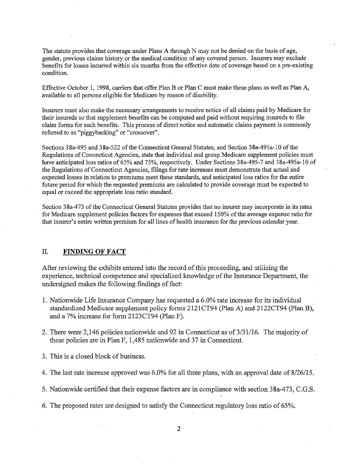The statute provides that coverage under Plans A through N may not be denied on the basis of age, gender, previous claims history or the medical condition of any covered person. Insurers may exclude benefits for losses incurred within six months from the effective date of coverage based on a pre-existing condition.

Effective October 1, 1998, carriers that offer Plan B or Plan C must make these plans as well as Plan A, available to all persons eligible for Medicare by reason of disability.

Insurers must also make the necessary arrangements to receive notice of all claims paid by Medicare for their insureds so that supplement benefits can be computed and paid without requiring insureds to file claim forms for such benefits. This process of direct notice and automatic claims payment is commonly referred to as "piggybacking" or "crossover".

Sections 38a-495 and 38a-522 of the Connecticut General Statutes, and Section 38a-495a-10 of the Regulations of Connecticut Agencies, state that individual and group Medicare supplement policies must have anticipated loss ratios of 65% and 75%, respectively. Under Sections 38a-495-7 and 38a-495a-10 of the Regulations of Connecticut Agencies, filings for rate increases must demonstrate that actual and expected losses in relation to premiums meet these standards, and anticipated loss ratios for the entire future period for which the requested premiums are calculated to provide coverage must be expected to equal or exceed the appropriate loss ratio standard.

Section 38a-473 of the Connecticut General Statutes provides that no insurer may incorporate in its rates for Medicare supplement policies factors for expenses that exceed 150% of the average expense ratio for that insurer's entire written premium for all lines of health insurance for the previous calendar year.

#### II. **FINDING OF FACT**

After reviewing the exhibits entered into the record ofthis proceeding, and utilizing the experience, technical competence and specialized knowledge of the Insurance Department, the undersigned makes the following findings of fact:

- 1. Nationwide Life Insurance Company has requested a 6.0% rate increase for its individual standardized Medicare supplement policy forms 2121CT94 (Plan A) and 2122CT94 (Plan B), and a 7% increase for form 2123CT94 (Plan F).
- 2. There were 2,146 policies nationwide and 92 in Connecticut as of 3/31/16. The majority of these policies are in Plan F, 1,485 nationwide and 37 in Connecticut.
- 3. This is a closed block of business.
- 4. The last rate increase approved was 6.0% for all three plans, with an approval date of 8/26/15.
- 5. Nationwide certified that their expense factors are in compliance with section 38a-473, C.G.S.
- 6. The proposed rates are designed to satisfy the Connecticut regulatory loss ratio of 65%.